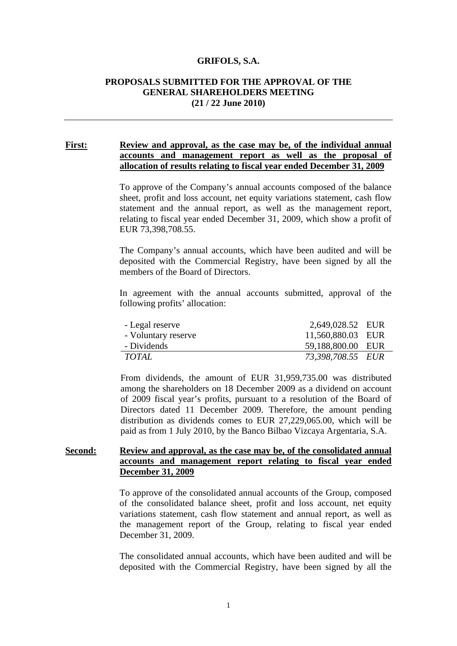#### **GRIFOLS, S.A.**

# **PROPOSALS SUBMITTED FOR THE APPROVAL OF THE GENERAL SHAREHOLDERS MEETING (21 / 22 June 2010)**

## **First: Review and approval, as the case may be, of the individual annual accounts and management report as well as the proposal of allocation of results relating to fiscal year ended December 31, 2009**

To approve of the Company's annual accounts composed of the balance sheet, profit and loss account, net equity variations statement, cash flow statement and the annual report, as well as the management report, relating to fiscal year ended December 31, 2009, which show a profit of EUR 73,398,708.55.

The Company's annual accounts, which have been audited and will be deposited with the Commercial Registry, have been signed by all the members of the Board of Directors.

In agreement with the annual accounts submitted, approval of the following profits' allocation:

| - Legal reserve     | 2,649,028.52 EUR  |  |
|---------------------|-------------------|--|
| - Voluntary reserve | 11,560,880.03 EUR |  |
| - Dividends         | 59,188,800.00 EUR |  |
| TOTAL               | 73,398,708.55 EUR |  |

From dividends, the amount of EUR 31,959,735.00 was distributed among the shareholders on 18 December 2009 as a dividend on account of 2009 fiscal year's profits, pursuant to a resolution of the Board of Directors dated 11 December 2009. Therefore, the amount pending distribution as dividends comes to EUR 27,229,065.00, which will be paid as from 1 July 2010, by the Banco Bilbao Vizcaya Argentaria, S.A.

# **Second: Review and approval, as the case may be, of the consolidated annual accounts and management report relating to fiscal year ended December 31, 2009**

To approve of the consolidated annual accounts of the Group, composed of the consolidated balance sheet, profit and loss account, net equity variations statement, cash flow statement and annual report, as well as the management report of the Group, relating to fiscal year ended December 31, 2009.

The consolidated annual accounts, which have been audited and will be deposited with the Commercial Registry, have been signed by all the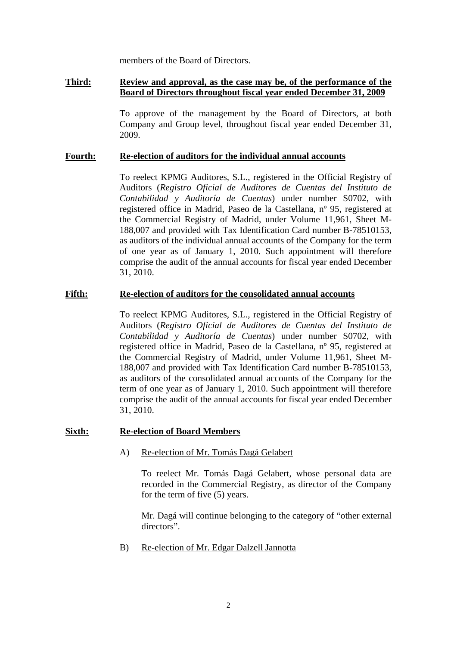members of the Board of Directors.

# **Third: Review and approval, as the case may be, of the performance of the Board of Directors throughout fiscal year ended December 31, 2009**

To approve of the management by the Board of Directors, at both Company and Group level, throughout fiscal year ended December 31, 2009.

### **Fourth: Re-election of auditors for the individual annual accounts**

To reelect KPMG Auditores, S.L., registered in the Official Registry of Auditors (*Registro Oficial de Auditores de Cuentas del Instituto de Contabilidad y Auditoría de Cuentas*) under number S0702, with registered office in Madrid, Paseo de la Castellana, nº 95, registered at the Commercial Registry of Madrid, under Volume 11,961, Sheet M-188,007 and provided with Tax Identification Card number B-78510153, as auditors of the individual annual accounts of the Company for the term of one year as of January 1, 2010. Such appointment will therefore comprise the audit of the annual accounts for fiscal year ended December 31, 2010.

## **Fifth: Re-election of auditors for the consolidated annual accounts**

To reelect KPMG Auditores, S.L., registered in the Official Registry of Auditors (*Registro Oficial de Auditores de Cuentas del Instituto de Contabilidad y Auditoría de Cuentas*) under number S0702, with registered office in Madrid, Paseo de la Castellana, nº 95, registered at the Commercial Registry of Madrid, under Volume 11,961, Sheet M-188,007 and provided with Tax Identification Card number B-78510153, as auditors of the consolidated annual accounts of the Company for the term of one year as of January 1, 2010. Such appointment will therefore comprise the audit of the annual accounts for fiscal year ended December 31, 2010.

#### **Sixth: Re-election of Board Members**

#### A) Re-election of Mr. Tomás Dagá Gelabert

To reelect Mr. Tomás Dagá Gelabert, whose personal data are recorded in the Commercial Registry, as director of the Company for the term of five (5) years.

Mr. Dagá will continue belonging to the category of "other external directors".

B) Re-election of Mr. Edgar Dalzell Jannotta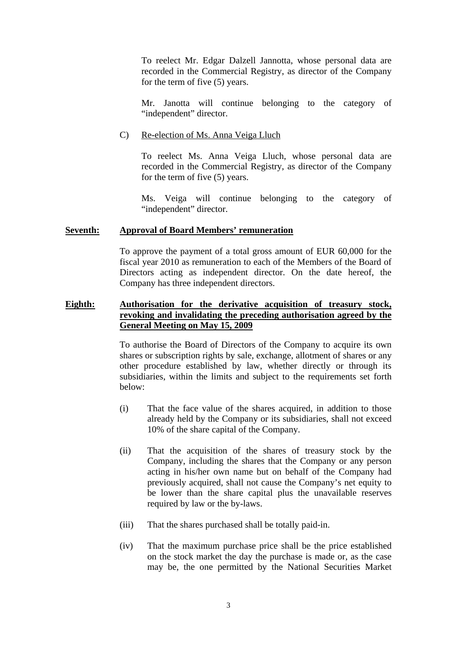To reelect Mr. Edgar Dalzell Jannotta, whose personal data are recorded in the Commercial Registry, as director of the Company for the term of five (5) years.

Mr. Janotta will continue belonging to the category of "independent" director.

### C) Re-election of Ms. Anna Veiga Lluch

To reelect Ms. Anna Veiga Lluch, whose personal data are recorded in the Commercial Registry, as director of the Company for the term of five (5) years.

Ms. Veiga will continue belonging to the category of "independent" director.

### **Seventh: Approval of Board Members' remuneration**

To approve the payment of a total gross amount of EUR 60,000 for the fiscal year 2010 as remuneration to each of the Members of the Board of Directors acting as independent director. On the date hereof, the Company has three independent directors.

# **Eighth: Authorisation for the derivative acquisition of treasury stock, revoking and invalidating the preceding authorisation agreed by the General Meeting on May 15, 2009**

To authorise the Board of Directors of the Company to acquire its own shares or subscription rights by sale, exchange, allotment of shares or any other procedure established by law, whether directly or through its subsidiaries, within the limits and subject to the requirements set forth below:

- (i) That the face value of the shares acquired, in addition to those already held by the Company or its subsidiaries, shall not exceed 10% of the share capital of the Company.
- (ii) That the acquisition of the shares of treasury stock by the Company, including the shares that the Company or any person acting in his/her own name but on behalf of the Company had previously acquired, shall not cause the Company's net equity to be lower than the share capital plus the unavailable reserves required by law or the by-laws.
- (iii) That the shares purchased shall be totally paid-in.
- (iv) That the maximum purchase price shall be the price established on the stock market the day the purchase is made or, as the case may be, the one permitted by the National Securities Market